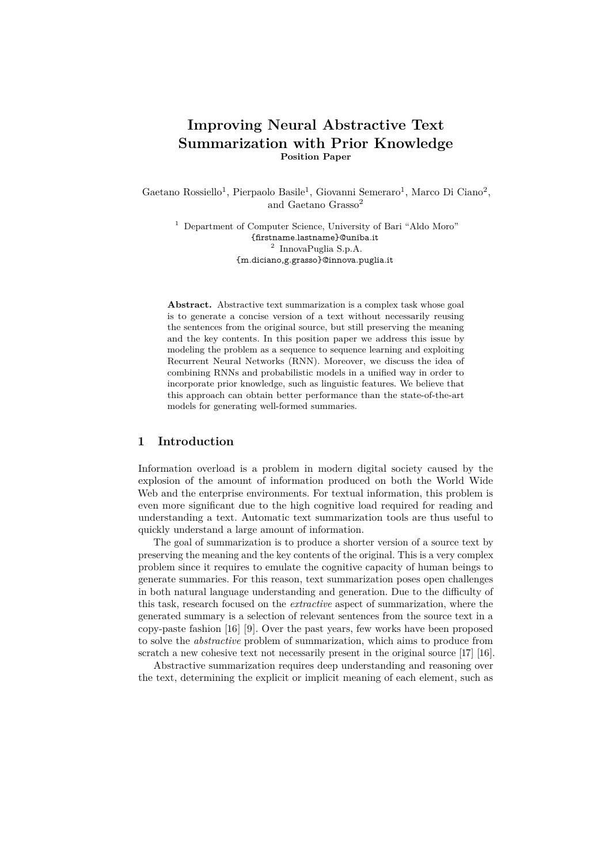# **Improving Neural Abstractive Text Summarization with Prior Knowledge Position Paper**

Gaetano Rossiello<sup>1</sup>, Pierpaolo Basile<sup>1</sup>, Giovanni Semeraro<sup>1</sup>, Marco Di Ciano<sup>2</sup>, and Gaetano Grasso<sup>2</sup>

<sup>1</sup> Department of Computer Science, University of Bari "Aldo Moro" {firstname.lastname}@uniba.it 2 InnovaPuglia S.p.A. {m.diciano,g.grasso}@innova.puglia.it

**Abstract.** Abstractive text summarization is a complex task whose goal is to generate a concise version of a text without necessarily reusing the sentences from the original source, but still preserving the meaning and the key contents. In this position paper we address this issue by modeling the problem as a sequence to sequence learning and exploiting Recurrent Neural Networks (RNN). Moreover, we discuss the idea of combining RNNs and probabilistic models in a unified way in order to incorporate prior knowledge, such as linguistic features. We believe that this approach can obtain better performance than the state-of-the-art models for generating well-formed summaries.

## **1 Introduction**

Information overload is a problem in modern digital society caused by the explosion of the amount of information produced on both the World Wide Web and the enterprise environments. For textual information, this problem is even more significant due to the high cognitive load required for reading and understanding a text. Automatic text summarization tools are thus useful to quickly understand a large amount of information.

The goal of summarization is to produce a shorter version of a source text by preserving the meaning and the key contents of the original. This is a very complex problem since it requires to emulate the cognitive capacity of human beings to generate summaries. For this reason, text summarization poses open challenges in both natural language understanding and generation. Due to the difficulty of this task, research focused on the *extractive* aspect of summarization, where the generated summary is a selection of relevant sentences from the source text in a copy-paste fashion [\[16\]](#page-5-0) [\[9\]](#page-5-1). Over the past years, few works have been proposed to solve the *abstractive* problem of summarization, which aims to produce from scratch a new cohesive text not necessarily present in the original source [\[17\]](#page-5-2) [\[16\]](#page-5-0).

Abstractive summarization requires deep understanding and reasoning over the text, determining the explicit or implicit meaning of each element, such as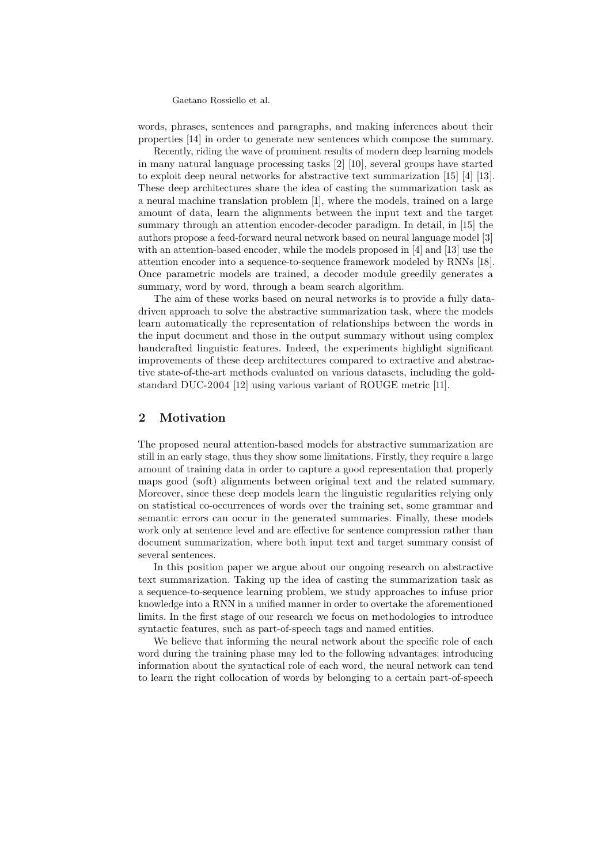Gaetano Rossiello et al.

words, phrases, sentences and paragraphs, and making inferences about their properties [\[14\]](#page-5-3) in order to generate new sentences which compose the summary.

Recently, riding the wave of prominent results of modern deep learning models in many natural language processing tasks [\[2\]](#page-5-4) [\[10\]](#page-5-5), several groups have started to exploit deep neural networks for abstractive text summarization [\[15\]](#page-5-6) [\[4\]](#page-5-7) [\[13\]](#page-5-8). These deep architectures share the idea of casting the summarization task as a neural machine translation problem [\[1\]](#page-5-9), where the models, trained on a large amount of data, learn the alignments between the input text and the target summary through an attention encoder-decoder paradigm. In detail, in [\[15\]](#page-5-6) the authors propose a feed-forward neural network based on neural language model [\[3\]](#page-5-10) with an attention-based encoder, while the models proposed in [\[4\]](#page-5-7) and [\[13\]](#page-5-8) use the attention encoder into a sequence-to-sequence framework modeled by RNNs [\[18\]](#page-5-11). Once parametric models are trained, a decoder module greedily generates a summary, word by word, through a beam search algorithm.

The aim of these works based on neural networks is to provide a fully datadriven approach to solve the abstractive summarization task, where the models learn automatically the representation of relationships between the words in the input document and those in the output summary without using complex handcrafted linguistic features. Indeed, the experiments highlight significant improvements of these deep architectures compared to extractive and abstractive state-of-the-art methods evaluated on various datasets, including the goldstandard DUC-2004 [\[12\]](#page-5-12) using various variant of ROUGE metric [\[11\]](#page-5-13).

## **2 Motivation**

The proposed neural attention-based models for abstractive summarization are still in an early stage, thus they show some limitations. Firstly, they require a large amount of training data in order to capture a good representation that properly maps good (soft) alignments between original text and the related summary. Moreover, since these deep models learn the linguistic regularities relying only on statistical co-occurrences of words over the training set, some grammar and semantic errors can occur in the generated summaries. Finally, these models work only at sentence level and are effective for sentence compression rather than document summarization, where both input text and target summary consist of several sentences.

In this position paper we argue about our ongoing research on abstractive text summarization. Taking up the idea of casting the summarization task as a sequence-to-sequence learning problem, we study approaches to infuse prior knowledge into a RNN in a unified manner in order to overtake the aforementioned limits. In the first stage of our research we focus on methodologies to introduce syntactic features, such as part-of-speech tags and named entities.

We believe that informing the neural network about the specific role of each word during the training phase may led to the following advantages: introducing information about the syntactical role of each word, the neural network can tend to learn the right collocation of words by belonging to a certain part-of-speech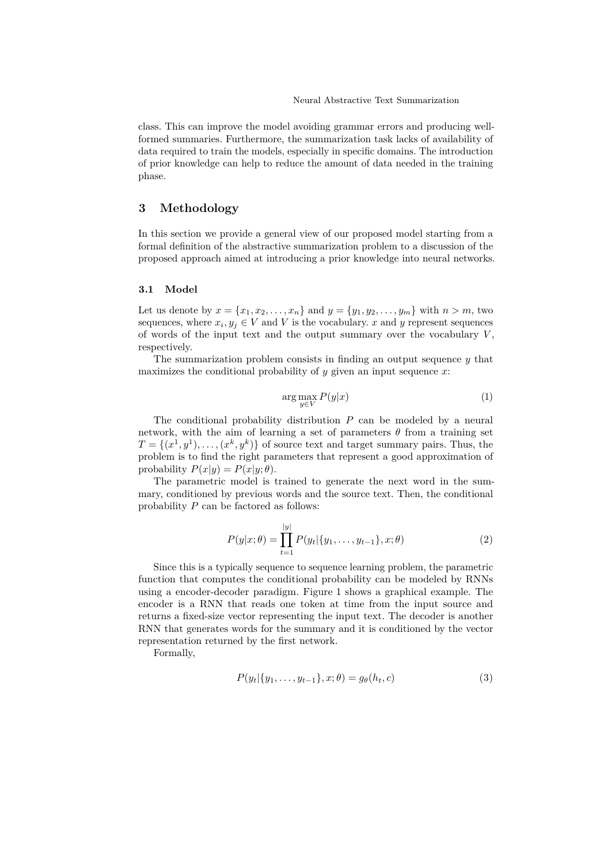class. This can improve the model avoiding grammar errors and producing wellformed summaries. Furthermore, the summarization task lacks of availability of data required to train the models, especially in specific domains. The introduction of prior knowledge can help to reduce the amount of data needed in the training phase.

## **3 Methodology**

In this section we provide a general view of our proposed model starting from a formal definition of the abstractive summarization problem to a discussion of the proposed approach aimed at introducing a prior knowledge into neural networks.

#### **3.1 Model**

Let us denote by  $x = \{x_1, x_2, ..., x_n\}$  and  $y = \{y_1, y_2, ..., y_m\}$  with  $n > m$ , two sequences, where  $x_i, y_j \in V$  and *V* is the vocabulary. *x* and *y* represent sequences of words of the input text and the output summary over the vocabulary *V* , respectively.

The summarization problem consists in finding an output sequence *y* that maximizes the conditional probability of *y* given an input sequence *x*:

<span id="page-2-0"></span>
$$
\arg\max_{y \in V} P(y|x) \tag{1}
$$

The conditional probability distribution *P* can be modeled by a neural network, with the aim of learning a set of parameters  $\theta$  from a training set  $T = \{(x^1, y^1), \ldots, (x^k, y^k)\}\$ of source text and target summary pairs. Thus, the problem is to find the right parameters that represent a good approximation of probability  $P(x|y) = P(x|y; \theta)$ .

The parametric model is trained to generate the next word in the summary, conditioned by previous words and the source text. Then, the conditional probability *P* can be factored as follows:

$$
P(y|x; \theta) = \prod_{t=1}^{|y|} P(y_t | \{y_1, \dots, y_{t-1}\}, x; \theta)
$$
 (2)

Since this is a typically sequence to sequence learning problem, the parametric function that computes the conditional probability can be modeled by RNNs using a encoder-decoder paradigm. Figure [1](#page-3-0) shows a graphical example. The encoder is a RNN that reads one token at time from the input source and returns a fixed-size vector representing the input text. The decoder is another RNN that generates words for the summary and it is conditioned by the vector representation returned by the first network.

Formally,

$$
P(y_t | \{y_1, \ldots, y_{t-1}\}, x; \theta) = g_{\theta}(h_t, c)
$$
\n(3)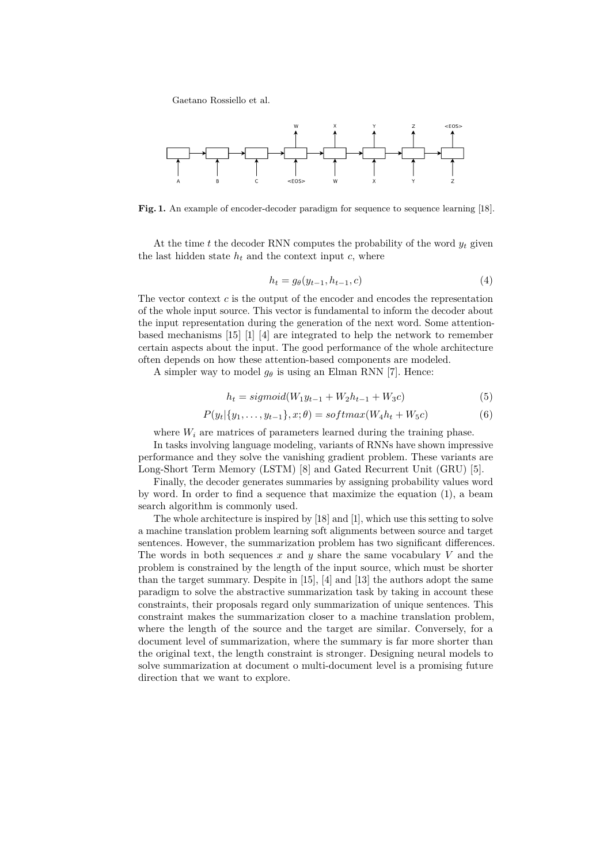Gaetano Rossiello et al.

<span id="page-3-0"></span>

**Fig. 1.** An example of encoder-decoder paradigm for sequence to sequence learning [\[18\]](#page-5-11).

At the time *t* the decoder RNN computes the probability of the word  $y_t$  given the last hidden state  $h_t$  and the context input  $c$ , where

$$
h_t = g_{\theta}(y_{t-1}, h_{t-1}, c) \tag{4}
$$

The vector context *c* is the output of the encoder and encodes the representation of the whole input source. This vector is fundamental to inform the decoder about the input representation during the generation of the next word. Some attentionbased mechanisms [\[15\]](#page-5-6) [\[1\]](#page-5-9) [\[4\]](#page-5-7) are integrated to help the network to remember certain aspects about the input. The good performance of the whole architecture often depends on how these attention-based components are modeled.

A simpler way to model  $g_{\theta}$  is using an Elman RNN [\[7\]](#page-5-14). Hence:

$$
h_t = sigmoid(W_1y_{t-1} + W_2h_{t-1} + W_3c)
$$
\n(5)

$$
P(y_t | \{y_1, \ldots, y_{t-1}\}, x; \theta) = softmax(W_4 h_t + W_5 c)
$$
\n(6)

where  $W_i$  are matrices of parameters learned during the training phase.

In tasks involving language modeling, variants of RNNs have shown impressive performance and they solve the vanishing gradient problem. These variants are Long-Short Term Memory (LSTM) [\[8\]](#page-5-15) and Gated Recurrent Unit (GRU) [\[5\]](#page-5-16).

Finally, the decoder generates summaries by assigning probability values word by word. In order to find a sequence that maximize the equation [\(1\)](#page-2-0), a beam search algorithm is commonly used.

The whole architecture is inspired by [\[18\]](#page-5-11) and [\[1\]](#page-5-9), which use this setting to solve a machine translation problem learning soft alignments between source and target sentences. However, the summarization problem has two significant differences. The words in both sequences *x* and *y* share the same vocabulary *V* and the problem is constrained by the length of the input source, which must be shorter than the target summary. Despite in [\[15\]](#page-5-6), [\[4\]](#page-5-7) and [\[13\]](#page-5-8) the authors adopt the same paradigm to solve the abstractive summarization task by taking in account these constraints, their proposals regard only summarization of unique sentences. This constraint makes the summarization closer to a machine translation problem, where the length of the source and the target are similar. Conversely, for a document level of summarization, where the summary is far more shorter than the original text, the length constraint is stronger. Designing neural models to solve summarization at document o multi-document level is a promising future direction that we want to explore.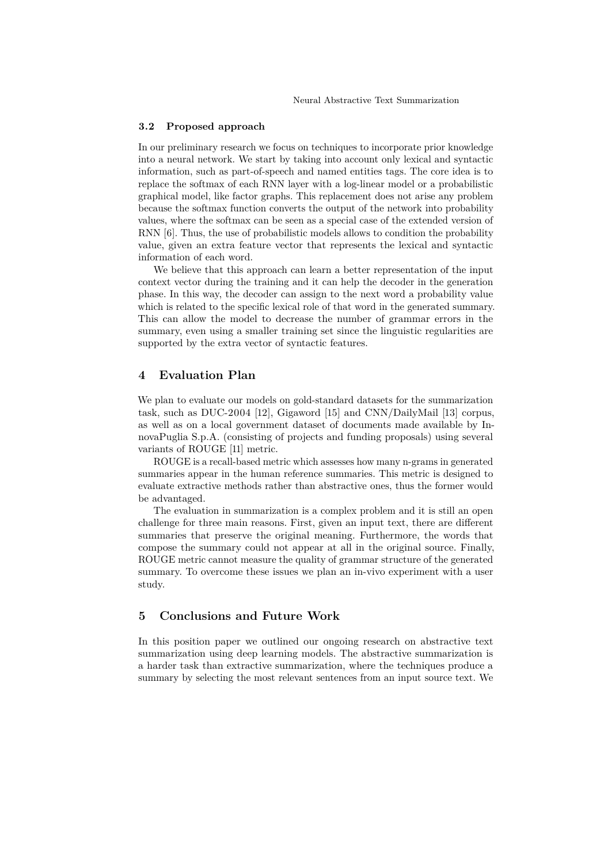#### **3.2 Proposed approach**

In our preliminary research we focus on techniques to incorporate prior knowledge into a neural network. We start by taking into account only lexical and syntactic information, such as part-of-speech and named entities tags. The core idea is to replace the softmax of each RNN layer with a log-linear model or a probabilistic graphical model, like factor graphs. This replacement does not arise any problem because the softmax function converts the output of the network into probability values, where the softmax can be seen as a special case of the extended version of RNN [\[6\]](#page-5-17). Thus, the use of probabilistic models allows to condition the probability value, given an extra feature vector that represents the lexical and syntactic information of each word.

We believe that this approach can learn a better representation of the input context vector during the training and it can help the decoder in the generation phase. In this way, the decoder can assign to the next word a probability value which is related to the specific lexical role of that word in the generated summary. This can allow the model to decrease the number of grammar errors in the summary, even using a smaller training set since the linguistic regularities are supported by the extra vector of syntactic features.

## **4 Evaluation Plan**

We plan to evaluate our models on gold-standard datasets for the summarization task, such as DUC-2004 [\[12\]](#page-5-12), Gigaword [\[15\]](#page-5-6) and CNN/DailyMail [\[13\]](#page-5-8) corpus, as well as on a local government dataset of documents made available by InnovaPuglia S.p.A. (consisting of projects and funding proposals) using several variants of ROUGE [\[11\]](#page-5-13) metric.

ROUGE is a recall-based metric which assesses how many n-grams in generated summaries appear in the human reference summaries. This metric is designed to evaluate extractive methods rather than abstractive ones, thus the former would be advantaged.

The evaluation in summarization is a complex problem and it is still an open challenge for three main reasons. First, given an input text, there are different summaries that preserve the original meaning. Furthermore, the words that compose the summary could not appear at all in the original source. Finally, ROUGE metric cannot measure the quality of grammar structure of the generated summary. To overcome these issues we plan an in-vivo experiment with a user study.

## **5 Conclusions and Future Work**

In this position paper we outlined our ongoing research on abstractive text summarization using deep learning models. The abstractive summarization is a harder task than extractive summarization, where the techniques produce a summary by selecting the most relevant sentences from an input source text. We